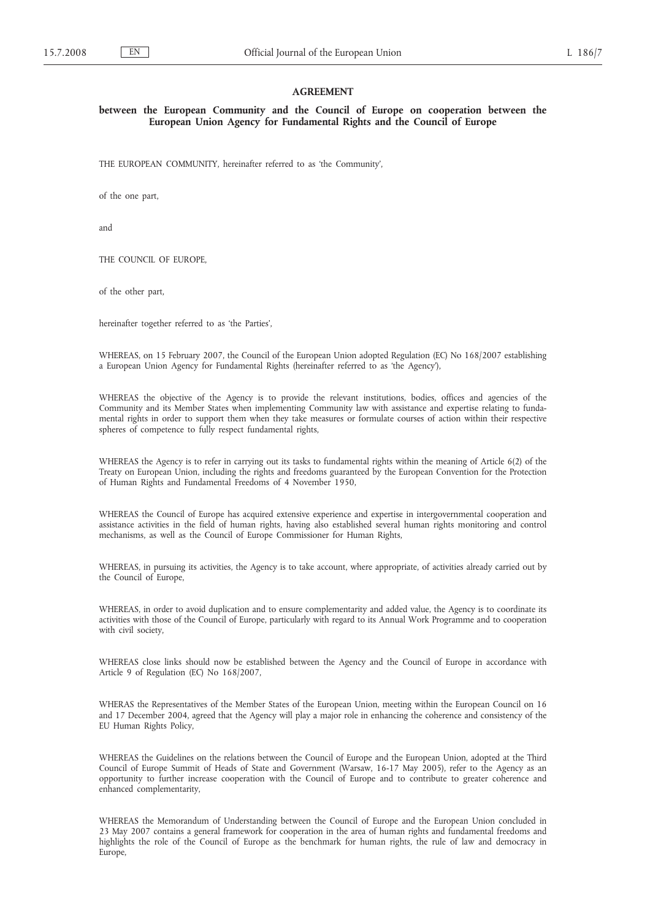### **AGREEMENT**

**between the European Community and the Council of Europe on cooperation between the European Union Agency for Fundamental Rights and the Council of Europe**

THE EUROPEAN COMMUNITY, hereinafter referred to as 'the Community',

of the one part,

and

THE COUNCIL OF EUROPE,

of the other part,

hereinafter together referred to as 'the Parties',

WHEREAS, on 15 February 2007, the Council of the European Union adopted Regulation (EC) No 168/2007 establishing a European Union Agency for Fundamental Rights (hereinafter referred to as 'the Agency'),

WHEREAS the objective of the Agency is to provide the relevant institutions, bodies, offices and agencies of the Community and its Member States when implementing Community law with assistance and expertise relating to fundamental rights in order to support them when they take measures or formulate courses of action within their respective spheres of competence to fully respect fundamental rights,

WHEREAS the Agency is to refer in carrying out its tasks to fundamental rights within the meaning of Article 6(2) of the Treaty on European Union, including the rights and freedoms guaranteed by the European Convention for the Protection of Human Rights and Fundamental Freedoms of 4 November 1950,

WHEREAS the Council of Europe has acquired extensive experience and expertise in intergovernmental cooperation and assistance activities in the field of human rights, having also established several human rights monitoring and control mechanisms, as well as the Council of Europe Commissioner for Human Rights,

WHEREAS, in pursuing its activities, the Agency is to take account, where appropriate, of activities already carried out by the Council of Europe,

WHEREAS, in order to avoid duplication and to ensure complementarity and added value, the Agency is to coordinate its activities with those of the Council of Europe, particularly with regard to its Annual Work Programme and to cooperation with civil society,

WHEREAS close links should now be established between the Agency and the Council of Europe in accordance with Article 9 of Regulation (EC) No 168/2007,

WHERAS the Representatives of the Member States of the European Union, meeting within the European Council on 16 and 17 December 2004, agreed that the Agency will play a major role in enhancing the coherence and consistency of the EU Human Rights Policy,

WHEREAS the Guidelines on the relations between the Council of Europe and the European Union, adopted at the Third Council of Europe Summit of Heads of State and Government (Warsaw, 16-17 May 2005), refer to the Agency as an opportunity to further increase cooperation with the Council of Europe and to contribute to greater coherence and enhanced complementarity,

WHEREAS the Memorandum of Understanding between the Council of Europe and the European Union concluded in 23 May 2007 contains a general framework for cooperation in the area of human rights and fundamental freedoms and highlights the role of the Council of Europe as the benchmark for human rights, the rule of law and democracy in Europe,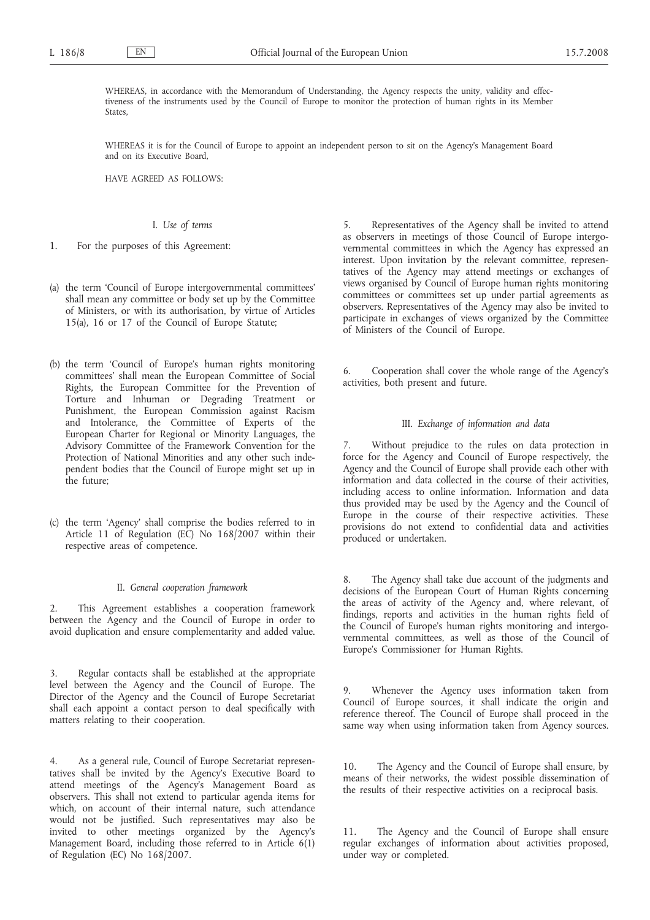WHEREAS, in accordance with the Memorandum of Understanding, the Agency respects the unity, validity and effectiveness of the instruments used by the Council of Europe to monitor the protection of human rights in its Member States,

WHEREAS it is for the Council of Europe to appoint an independent person to sit on the Agency's Management Board and on its Executive Board,

HAVE AGREED AS FOLLOWS:

# I. *Use of terms*

- 1. For the purposes of this Agreement:
- (a) the term 'Council of Europe intergovernmental committees' shall mean any committee or body set up by the Committee of Ministers, or with its authorisation, by virtue of Articles 15(a), 16 or 17 of the Council of Europe Statute;
- (b) the term 'Council of Europe's human rights monitoring committees' shall mean the European Committee of Social Rights, the European Committee for the Prevention of Torture and Inhuman or Degrading Treatment or Punishment, the European Commission against Racism and Intolerance, the Committee of Experts of the European Charter for Regional or Minority Languages, the Advisory Committee of the Framework Convention for the Protection of National Minorities and any other such independent bodies that the Council of Europe might set up in the future;
- (c) the term 'Agency' shall comprise the bodies referred to in Article 11 of Regulation (EC) No 168/2007 within their respective areas of competence.

#### II. *General cooperation framework*

2. This Agreement establishes a cooperation framework between the Agency and the Council of Europe in order to avoid duplication and ensure complementarity and added value.

3. Regular contacts shall be established at the appropriate level between the Agency and the Council of Europe. The Director of the Agency and the Council of Europe Secretariat shall each appoint a contact person to deal specifically with matters relating to their cooperation.

4. As a general rule, Council of Europe Secretariat representatives shall be invited by the Agency's Executive Board to attend meetings of the Agency's Management Board as observers. This shall not extend to particular agenda items for which, on account of their internal nature, such attendance would not be justified. Such representatives may also be invited to other meetings organized by the Agency's Management Board, including those referred to in Article 6(1) of Regulation (EC) No 168/2007.

5. Representatives of the Agency shall be invited to attend as observers in meetings of those Council of Europe intergovernmental committees in which the Agency has expressed an interest. Upon invitation by the relevant committee, representatives of the Agency may attend meetings or exchanges of views organised by Council of Europe human rights monitoring committees or committees set up under partial agreements as observers. Representatives of the Agency may also be invited to participate in exchanges of views organized by the Committee of Ministers of the Council of Europe.

6. Cooperation shall cover the whole range of the Agency's activities, both present and future.

# III. *Exchange of information and data*

7. Without prejudice to the rules on data protection in force for the Agency and Council of Europe respectively, the Agency and the Council of Europe shall provide each other with information and data collected in the course of their activities, including access to online information. Information and data thus provided may be used by the Agency and the Council of Europe in the course of their respective activities. These provisions do not extend to confidential data and activities produced or undertaken.

The Agency shall take due account of the judgments and decisions of the European Court of Human Rights concerning the areas of activity of the Agency and, where relevant, of findings, reports and activities in the human rights field of the Council of Europe's human rights monitoring and intergovernmental committees, as well as those of the Council of Europe's Commissioner for Human Rights.

9. Whenever the Agency uses information taken from Council of Europe sources, it shall indicate the origin and reference thereof. The Council of Europe shall proceed in the same way when using information taken from Agency sources.

10. The Agency and the Council of Europe shall ensure, by means of their networks, the widest possible dissemination of the results of their respective activities on a reciprocal basis.

11. The Agency and the Council of Europe shall ensure regular exchanges of information about activities proposed, under way or completed.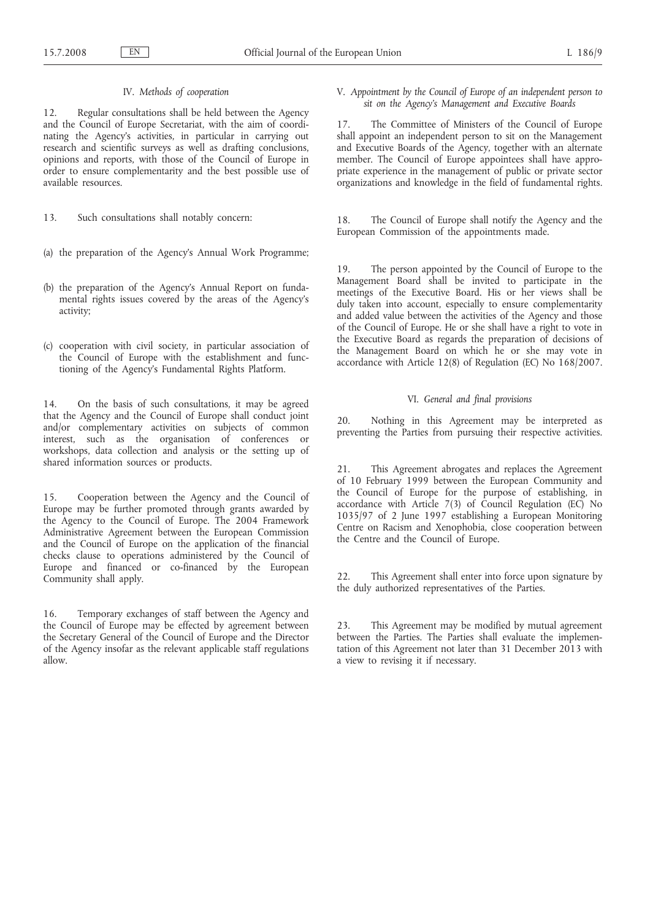### IV. *Methods of cooperation*

12. Regular consultations shall be held between the Agency and the Council of Europe Secretariat, with the aim of coordinating the Agency's activities, in particular in carrying out research and scientific surveys as well as drafting conclusions, opinions and reports, with those of the Council of Europe in order to ensure complementarity and the best possible use of available resources.

13. Such consultations shall notably concern:

- (a) the preparation of the Agency's Annual Work Programme;
- (b) the preparation of the Agency's Annual Report on fundamental rights issues covered by the areas of the Agency's activity;
- (c) cooperation with civil society, in particular association of the Council of Europe with the establishment and functioning of the Agency's Fundamental Rights Platform.

14. On the basis of such consultations, it may be agreed that the Agency and the Council of Europe shall conduct joint and/or complementary activities on subjects of common interest, such as the organisation of conferences or workshops, data collection and analysis or the setting up of shared information sources or products.

15. Cooperation between the Agency and the Council of Europe may be further promoted through grants awarded by the Agency to the Council of Europe. The 2004 Framework Administrative Agreement between the European Commission and the Council of Europe on the application of the financial checks clause to operations administered by the Council of Europe and financed or co-financed by the European Community shall apply.

16. Temporary exchanges of staff between the Agency and the Council of Europe may be effected by agreement between the Secretary General of the Council of Europe and the Director of the Agency insofar as the relevant applicable staff regulations allow.

V. *Appointment by the Council of Europe of an independent person to sit on the Agency's Management and Executive Boards*

17. The Committee of Ministers of the Council of Europe shall appoint an independent person to sit on the Management and Executive Boards of the Agency, together with an alternate member. The Council of Europe appointees shall have appropriate experience in the management of public or private sector organizations and knowledge in the field of fundamental rights.

18. The Council of Europe shall notify the Agency and the European Commission of the appointments made.

19. The person appointed by the Council of Europe to the Management Board shall be invited to participate in the meetings of the Executive Board. His or her views shall be duly taken into account, especially to ensure complementarity and added value between the activities of the Agency and those of the Council of Europe. He or she shall have a right to vote in the Executive Board as regards the preparation of decisions of the Management Board on which he or she may vote in accordance with Article 12(8) of Regulation (EC) No 168/2007.

# VI. *General and final provisions*

20. Nothing in this Agreement may be interpreted as preventing the Parties from pursuing their respective activities.

21. This Agreement abrogates and replaces the Agreement of 10 February 1999 between the European Community and the Council of Europe for the purpose of establishing, in accordance with Article  $7(3)$  of Council Regulation (EC) No 1035/97 of 2 June 1997 establishing a European Monitoring Centre on Racism and Xenophobia, close cooperation between the Centre and the Council of Europe.

22. This Agreement shall enter into force upon signature by the duly authorized representatives of the Parties.

23. This Agreement may be modified by mutual agreement between the Parties. The Parties shall evaluate the implementation of this Agreement not later than 31 December 2013 with a view to revising it if necessary.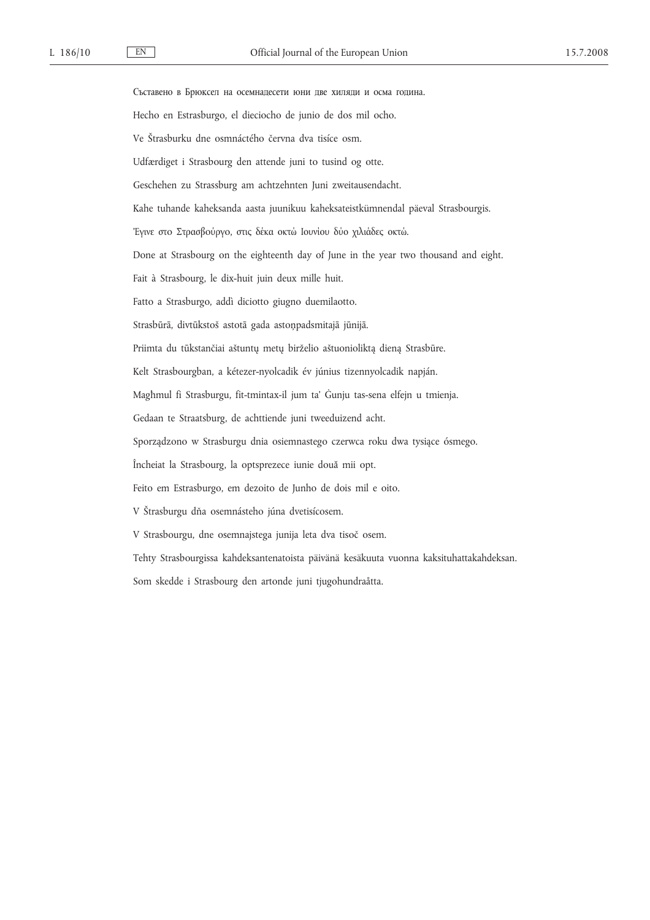Съставено в Брюксел на осемнадесети юни две хиляди и осма година. Hecho en Estrasburgo, el dieciocho de junio de dos mil ocho. Ve Štrasburku dne osmnáctého června dva tisíce osm. Udfærdiget i Strasbourg den attende juni to tusind og otte. Geschehen zu Strassburg am achtzehnten Juni zweitausendacht. Kahe tuhande kaheksanda aasta juunikuu kaheksateistkümnendal päeval Strasbourgis. 'Εγινε στo Στρασβoύργo, στις δέκα οκτώ Ιουνίου δύο χιλιάδες οκτώ. Done at Strasbourg on the eighteenth day of June in the year two thousand and eight. Fait à Strasbourg, le dix-huit juin deux mille huit. Fatto a Strasburgo, addì diciotto giugno duemilaotto. Strasbūrā, divtūkstoš astotā gada astoņpadsmitajā jūnijā. Priimta du tūkstančiai aštuntų metų birželio aštuonioliktą dieną Strasbūre. Kelt Strasbourgban, a kétezer-nyolcadik év június tizennyolcadik napján. Magħmul fi Strasburgu, fit-tmintax-il jum ta' Ġunju tas-sena elfejn u tmienja. Gedaan te Straatsburg, de achttiende juni tweeduizend acht. Sporządzono w Strasburgu dnia osiemnastego czerwca roku dwa tysiące ósmego. Încheiat la Strasbourg, la optsprezece iunie două mii opt. Feito em Estrasburgo, em dezoito de Junho de dois mil e oito. V Štrasburgu dňa osemnásteho júna dvetisícosem. V Strasbourgu, dne osemnajstega junija leta dva tisoč osem. Tehty Strasbourgissa kahdeksantenatoista päivänä kesäkuuta vuonna kaksituhattakahdeksan. Som skedde i Strasbourg den artonde juni tjugohundraåtta.